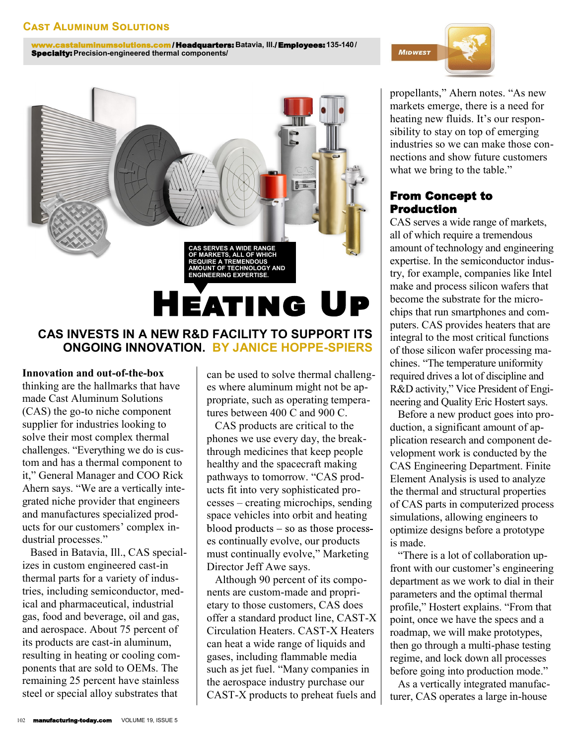www.castaluminumsolutions.com / Headquarters: **Batavia, Ill.**/ Employees:**135-140/** Specialty:**Precision-engineered thermal components/**



# **ONGOING INNOVATION. BY JANICE HOPPE-SPIERS**

#### **Innovation and out-of-the-box**

thinking are the hallmarks that have made Cast Aluminum Solutions (CAS) the go-to niche component supplier for industries looking to solve their most complex thermal challenges. "Everything we do is custom and has a thermal component to it," General Manager and COO Rick Ahern says. "We are a vertically integrated niche provider that engineers and manufactures specialized products for our customers' complex industrial processes."

 Based in Batavia, Ill., CAS specializes in custom engineered cast-in thermal parts for a variety of industries, including semiconductor, medical and pharmaceutical, industrial gas, food and beverage, oil and gas, and aerospace. About 75 percent of its products are cast-in aluminum, resulting in heating or cooling components that are sold to OEMs. The remaining 25 percent have stainless steel or special alloy substrates that

can be used to solve thermal challenges where aluminum might not be appropriate, such as operating temperatures between 400 C and 900 C.

 CAS products are critical to the phones we use every day, the breakthrough medicines that keep people healthy and the spacecraft making pathways to tomorrow. "CAS products fit into very sophisticated processes – creating microchips, sending space vehicles into orbit and heating blood products  $-$  so as those processes continually evolve, our products must continually evolve," Marketing Director Jeff Awe says.

 Although 90 percent of its components are custom-made and proprietary to those customers, CAS does offer a standard product line, CAST-X Circulation Heaters. CAST-X Heaters can heat a wide range of liquids and gases, including flammable media such as jet fuel. "Many companies in the aerospace industry purchase our CAST-X products to preheat fuels and



propellants," Ahern notes. "As new markets emerge, there is a need for heating new fluids. It's our responsibility to stay on top of emerging industries so we can make those connections and show future customers what we bring to the table."

## From Concept to Production

CAS serves a wide range of markets, all of which require a tremendous amount of technology and engineering expertise. In the semiconductor industry, for example, companies like Intel make and process silicon wafers that become the substrate for the microchips that run smartphones and computers. CAS provides heaters that are integral to the most critical functions of those silicon wafer processing machines. "The temperature uniformity required drives a lot of discipline and R&D activity," Vice President of Engineering and Quality Eric Hostert says.

 Before a new product goes into production, a significant amount of application research and component development work is conducted by the CAS Engineering Department. Finite Element Analysis is used to analyze the thermal and structural properties of CAS parts in computerized process simulations, allowing engineers to optimize designs before a prototype is made.

 "There is a lot of collaboration upfront with our customer's engineering department as we work to dial in their parameters and the optimal thermal profile," Hostert explains. "From that point, once we have the specs and a roadmap, we will make prototypes, then go through a multi-phase testing regime, and lock down all processes before going into production mode."

 As a vertically integrated manufacturer, CAS operates a large in-house